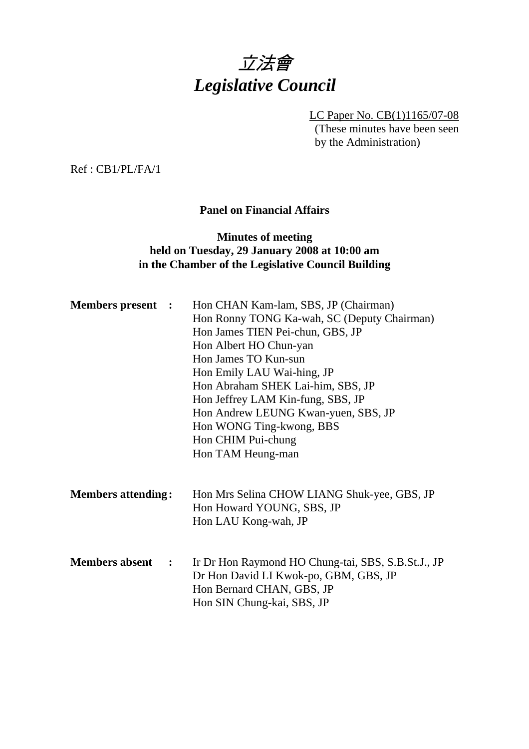

LC Paper No. CB(1)1165/07-08 (These minutes have been seen by the Administration)

Ref : CB1/PL/FA/1

#### **Panel on Financial Affairs**

#### **Minutes of meeting held on Tuesday, 29 January 2008 at 10:00 am in the Chamber of the Legislative Council Building**

| <b>Members present :</b> | Hon CHAN Kam-lam, SBS, JP (Chairman)               |  |  |  |
|--------------------------|----------------------------------------------------|--|--|--|
|                          | Hon Ronny TONG Ka-wah, SC (Deputy Chairman)        |  |  |  |
|                          | Hon James TIEN Pei-chun, GBS, JP                   |  |  |  |
|                          | Hon Albert HO Chun-yan                             |  |  |  |
|                          | Hon James TO Kun-sun                               |  |  |  |
|                          | Hon Emily LAU Wai-hing, JP                         |  |  |  |
|                          | Hon Abraham SHEK Lai-him, SBS, JP                  |  |  |  |
|                          | Hon Jeffrey LAM Kin-fung, SBS, JP                  |  |  |  |
|                          | Hon Andrew LEUNG Kwan-yuen, SBS, JP                |  |  |  |
|                          | Hon WONG Ting-kwong, BBS                           |  |  |  |
|                          | Hon CHIM Pui-chung                                 |  |  |  |
|                          | Hon TAM Heung-man                                  |  |  |  |
|                          |                                                    |  |  |  |
|                          |                                                    |  |  |  |
|                          | Hon Mrs Selina CHOW LIANG Shuk-yee, GBS, JP        |  |  |  |
|                          | Hon Howard YOUNG, SBS, JP                          |  |  |  |
|                          | Hon LAU Kong-wah, JP                               |  |  |  |
|                          |                                                    |  |  |  |
|                          |                                                    |  |  |  |
|                          | Ir Dr Hon Raymond HO Chung-tai, SBS, S.B.St.J., JP |  |  |  |
|                          | Dr Hon David LI Kwok-po, GBM, GBS, JP              |  |  |  |
|                          | Hon Bernard CHAN, GBS, JP                          |  |  |  |
|                          | Hon SIN Chung-kai, SBS, JP                         |  |  |  |
|                          | <b>Members attending:</b><br>$\ddot{\phantom{1}}$  |  |  |  |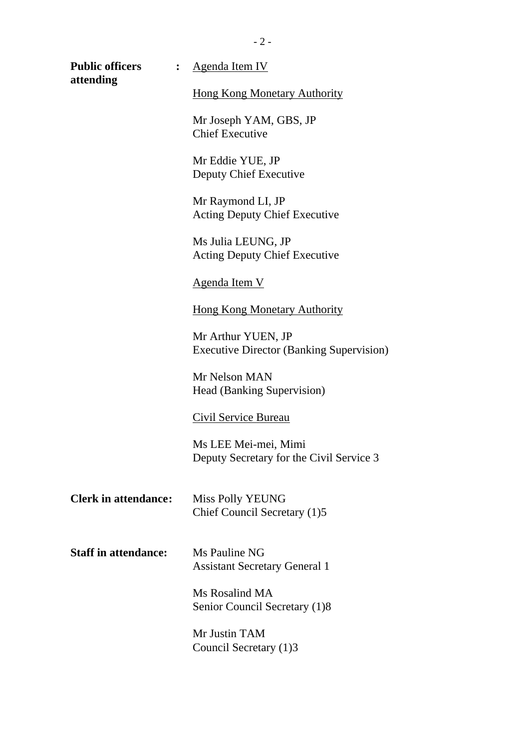| <b>Public officers</b><br>$\ddot{\cdot}$<br>attending | <b>Agenda Item IV</b>                                                 |
|-------------------------------------------------------|-----------------------------------------------------------------------|
|                                                       | <b>Hong Kong Monetary Authority</b>                                   |
|                                                       | Mr Joseph YAM, GBS, JP<br><b>Chief Executive</b>                      |
|                                                       | Mr Eddie YUE, JP<br>Deputy Chief Executive                            |
|                                                       | Mr Raymond LI, JP<br><b>Acting Deputy Chief Executive</b>             |
|                                                       | Ms Julia LEUNG, JP<br><b>Acting Deputy Chief Executive</b>            |
|                                                       | <u>Agenda Item V</u>                                                  |
|                                                       | <b>Hong Kong Monetary Authority</b>                                   |
|                                                       | Mr Arthur YUEN, JP<br><b>Executive Director (Banking Supervision)</b> |
|                                                       | Mr Nelson MAN<br>Head (Banking Supervision)                           |
|                                                       | <b>Civil Service Bureau</b>                                           |
|                                                       | Ms LEE Mei-mei, Mimi<br>Deputy Secretary for the Civil Service 3      |
| <b>Clerk in attendance:</b>                           | <b>Miss Polly YEUNG</b><br>Chief Council Secretary (1)5               |
| <b>Staff in attendance:</b>                           | Ms Pauline NG<br><b>Assistant Secretary General 1</b>                 |
|                                                       | Ms Rosalind MA<br>Senior Council Secretary (1)8                       |
|                                                       | Mr Justin TAM<br>Council Secretary (1)3                               |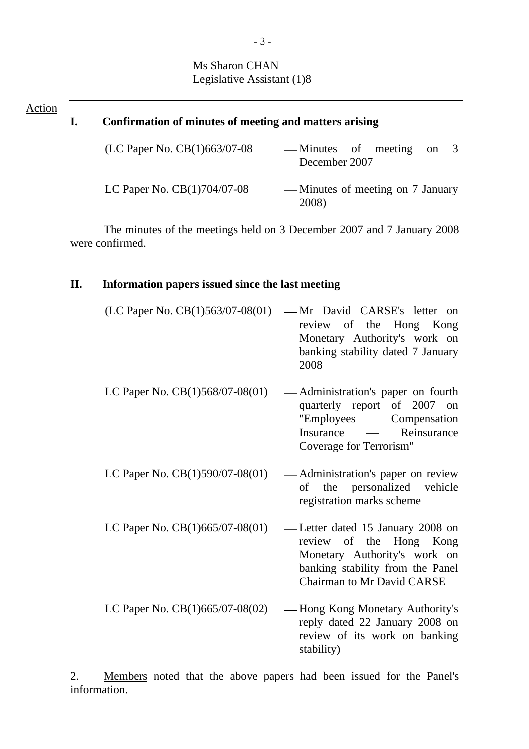### Ms Sharon CHAN Legislative Assistant (1)8

# Action **I. Confirmation of minutes of meeting and matters arising**  (LC Paper No. CB $(1)$ 663/07-08 --- Minutes of meeting on 3 December 2007 LC Paper No. CB(1)704/07-08 ⎯ Minutes of meeting on 7 January

The minutes of the meetings held on 3 December 2007 and 7 January 2008 were confirmed.

2008)

#### **II. Information papers issued since the last meeting**

| (LC Paper No. $CB(1)563/07-08(01)$ | -Mr David CARSE's letter on<br>review of the Hong Kong<br>Monetary Authority's work on<br>banking stability dated 7 January<br>2008                                  |
|------------------------------------|----------------------------------------------------------------------------------------------------------------------------------------------------------------------|
| LC Paper No. $CB(1)568/07-08(01)$  | — Administration's paper on fourth<br>quarterly report of 2007 on<br>"Employees Compensation<br>Insurance — Reinsurance<br>Coverage for Terrorism"                   |
| LC Paper No. CB(1)590/07-08(01)    | -Administration's paper on review<br>of the personalized vehicle<br>registration marks scheme                                                                        |
| LC Paper No. $CB(1)665/07-08(01)$  | -Letter dated 15 January 2008 on<br>review of the Hong Kong<br>Monetary Authority's work on<br>banking stability from the Panel<br><b>Chairman to Mr David CARSE</b> |
| LC Paper No. $CB(1)665/07-08(02)$  | - Hong Kong Monetary Authority's<br>reply dated 22 January 2008 on<br>review of its work on banking<br>stability)                                                    |

2. Members noted that the above papers had been issued for the Panel's information.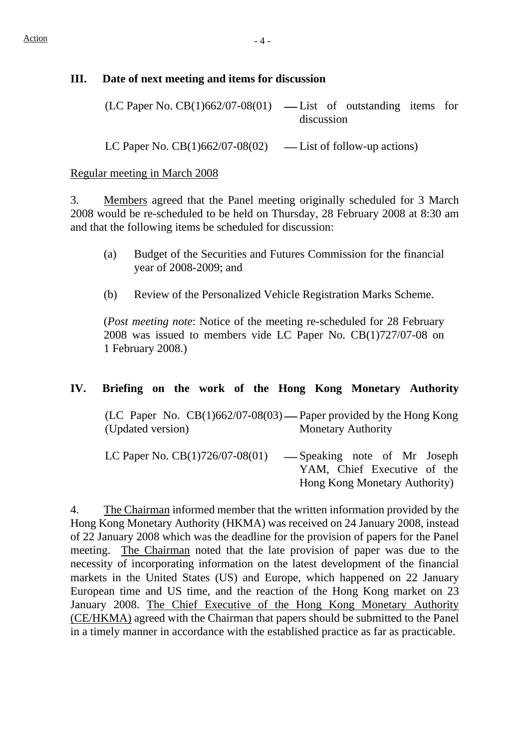#### **III. Date of next meeting and items for discussion**

| $(LC$ Paper No. $CB(1)662/07-08(01)$ — List of outstanding items for |            |  |  |  |  |
|----------------------------------------------------------------------|------------|--|--|--|--|
|                                                                      | discussion |  |  |  |  |

LC Paper No.  $CB(1)662/07-08(02)$  — List of follow-up actions)

#### Regular meeting in March 2008

3. Members agreed that the Panel meeting originally scheduled for 3 March 2008 would be re-scheduled to be held on Thursday, 28 February 2008 at 8:30 am and that the following items be scheduled for discussion:

- (a) Budget of the Securities and Futures Commission for the financial year of 2008-2009; and
- (b) Review of the Personalized Vehicle Registration Marks Scheme.

(*Post meeting note*: Notice of the meeting re-scheduled for 28 February 2008 was issued to members vide LC Paper No. CB(1)727/07-08 on 1 February 2008.)

#### **IV. Briefing on the work of the Hong Kong Monetary Authority**

(LC Paper No.  $CB(1)662/07-08(03)$ —Paper provided by the Hong Kong (Updated version) Monetary Authority

LC Paper No.  $CB(1)726/07-08(01)$  — Speaking note of Mr Joseph YAM, Chief Executive of the Hong Kong Monetary Authority)

4. The Chairman informed member that the written information provided by the Hong Kong Monetary Authority (HKMA) was received on 24 January 2008, instead of 22 January 2008 which was the deadline for the provision of papers for the Panel meeting. The Chairman noted that the late provision of paper was due to the necessity of incorporating information on the latest development of the financial markets in the United States (US) and Europe, which happened on 22 January European time and US time, and the reaction of the Hong Kong market on 23 January 2008. The Chief Executive of the Hong Kong Monetary Authority (CE/HKMA) agreed with the Chairman that papers should be submitted to the Panel in a timely manner in accordance with the established practice as far as practicable.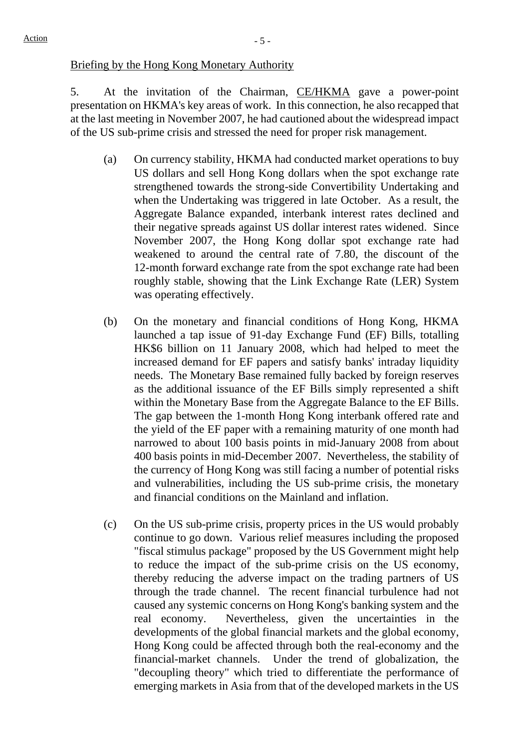#### Briefing by the Hong Kong Monetary Authority

5. At the invitation of the Chairman, CE/HKMA gave a power-point presentation on HKMA's key areas of work. In this connection, he also recapped that at the last meeting in November 2007, he had cautioned about the widespread impact of the US sub-prime crisis and stressed the need for proper risk management.

- (a) On currency stability, HKMA had conducted market operations to buy US dollars and sell Hong Kong dollars when the spot exchange rate strengthened towards the strong-side Convertibility Undertaking and when the Undertaking was triggered in late October. As a result, the Aggregate Balance expanded, interbank interest rates declined and their negative spreads against US dollar interest rates widened. Since November 2007, the Hong Kong dollar spot exchange rate had weakened to around the central rate of 7.80, the discount of the 12-month forward exchange rate from the spot exchange rate had been roughly stable, showing that the Link Exchange Rate (LER) System was operating effectively.
- (b) On the monetary and financial conditions of Hong Kong, HKMA launched a tap issue of 91-day Exchange Fund (EF) Bills, totalling HK\$6 billion on 11 January 2008, which had helped to meet the increased demand for EF papers and satisfy banks' intraday liquidity needs. The Monetary Base remained fully backed by foreign reserves as the additional issuance of the EF Bills simply represented a shift within the Monetary Base from the Aggregate Balance to the EF Bills. The gap between the 1-month Hong Kong interbank offered rate and the yield of the EF paper with a remaining maturity of one month had narrowed to about 100 basis points in mid-January 2008 from about 400 basis points in mid-December 2007. Nevertheless, the stability of the currency of Hong Kong was still facing a number of potential risks and vulnerabilities, including the US sub-prime crisis, the monetary and financial conditions on the Mainland and inflation.
- (c) On the US sub-prime crisis, property prices in the US would probably continue to go down. Various relief measures including the proposed "fiscal stimulus package" proposed by the US Government might help to reduce the impact of the sub-prime crisis on the US economy, thereby reducing the adverse impact on the trading partners of US through the trade channel. The recent financial turbulence had not caused any systemic concerns on Hong Kong's banking system and the real economy. Nevertheless, given the uncertainties in the developments of the global financial markets and the global economy, Hong Kong could be affected through both the real-economy and the financial-market channels. Under the trend of globalization, the "decoupling theory" which tried to differentiate the performance of emerging markets in Asia from that of the developed markets in the US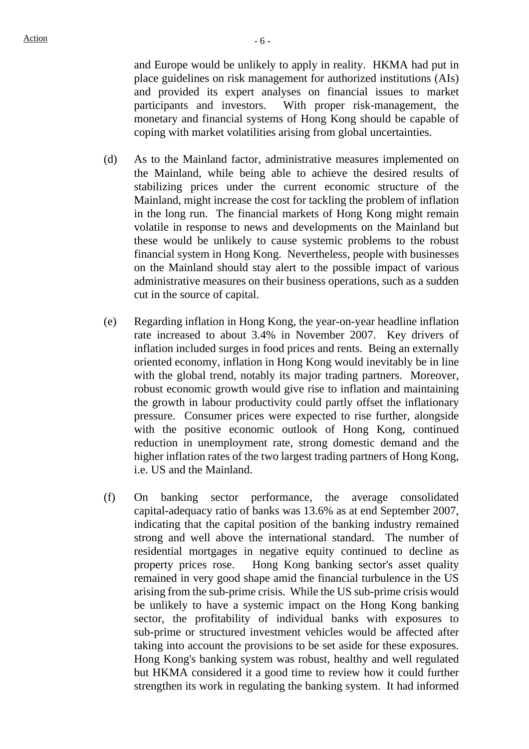and Europe would be unlikely to apply in reality. HKMA had put in place guidelines on risk management for authorized institutions (AIs) and provided its expert analyses on financial issues to market participants and investors. With proper risk-management, the monetary and financial systems of Hong Kong should be capable of coping with market volatilities arising from global uncertainties.

- (d) As to the Mainland factor, administrative measures implemented on the Mainland, while being able to achieve the desired results of stabilizing prices under the current economic structure of the Mainland, might increase the cost for tackling the problem of inflation in the long run. The financial markets of Hong Kong might remain volatile in response to news and developments on the Mainland but these would be unlikely to cause systemic problems to the robust financial system in Hong Kong. Nevertheless, people with businesses on the Mainland should stay alert to the possible impact of various administrative measures on their business operations, such as a sudden cut in the source of capital.
- (e) Regarding inflation in Hong Kong, the year-on-year headline inflation rate increased to about 3.4% in November 2007. Key drivers of inflation included surges in food prices and rents. Being an externally oriented economy, inflation in Hong Kong would inevitably be in line with the global trend, notably its major trading partners. Moreover, robust economic growth would give rise to inflation and maintaining the growth in labour productivity could partly offset the inflationary pressure. Consumer prices were expected to rise further, alongside with the positive economic outlook of Hong Kong, continued reduction in unemployment rate, strong domestic demand and the higher inflation rates of the two largest trading partners of Hong Kong, i.e. US and the Mainland.
- (f) On banking sector performance, the average consolidated capital-adequacy ratio of banks was 13.6% as at end September 2007, indicating that the capital position of the banking industry remained strong and well above the international standard. The number of residential mortgages in negative equity continued to decline as property prices rose. Hong Kong banking sector's asset quality remained in very good shape amid the financial turbulence in the US arising from the sub-prime crisis. While the US sub-prime crisis would be unlikely to have a systemic impact on the Hong Kong banking sector, the profitability of individual banks with exposures to sub-prime or structured investment vehicles would be affected after taking into account the provisions to be set aside for these exposures. Hong Kong's banking system was robust, healthy and well regulated but HKMA considered it a good time to review how it could further strengthen its work in regulating the banking system. It had informed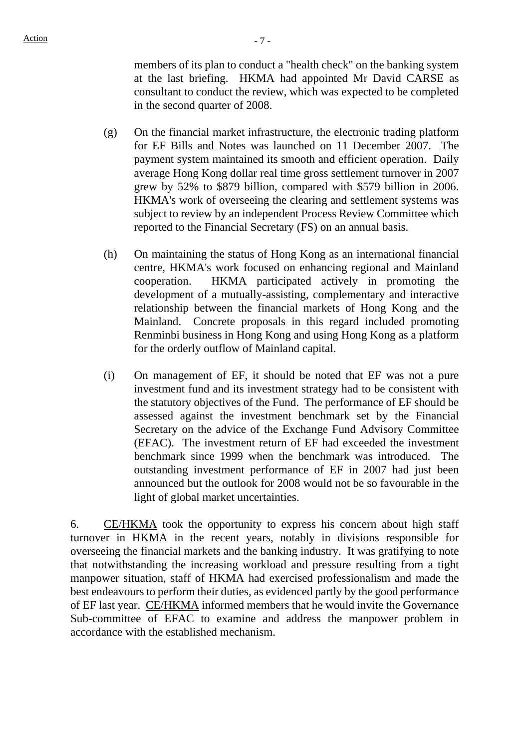members of its plan to conduct a "health check" on the banking system at the last briefing. HKMA had appointed Mr David CARSE as consultant to conduct the review, which was expected to be completed in the second quarter of 2008.

- (g) On the financial market infrastructure, the electronic trading platform for EF Bills and Notes was launched on 11 December 2007. The payment system maintained its smooth and efficient operation. Daily average Hong Kong dollar real time gross settlement turnover in 2007 grew by 52% to \$879 billion, compared with \$579 billion in 2006. HKMA's work of overseeing the clearing and settlement systems was subject to review by an independent Process Review Committee which reported to the Financial Secretary (FS) on an annual basis.
- (h) On maintaining the status of Hong Kong as an international financial centre, HKMA's work focused on enhancing regional and Mainland cooperation. HKMA participated actively in promoting the development of a mutually-assisting, complementary and interactive relationship between the financial markets of Hong Kong and the Mainland. Concrete proposals in this regard included promoting Renminbi business in Hong Kong and using Hong Kong as a platform for the orderly outflow of Mainland capital.
- (i) On management of EF, it should be noted that EF was not a pure investment fund and its investment strategy had to be consistent with the statutory objectives of the Fund. The performance of EF should be assessed against the investment benchmark set by the Financial Secretary on the advice of the Exchange Fund Advisory Committee (EFAC). The investment return of EF had exceeded the investment benchmark since 1999 when the benchmark was introduced. The outstanding investment performance of EF in 2007 had just been announced but the outlook for 2008 would not be so favourable in the light of global market uncertainties.

6. CE/HKMA took the opportunity to express his concern about high staff turnover in HKMA in the recent years, notably in divisions responsible for overseeing the financial markets and the banking industry. It was gratifying to note that notwithstanding the increasing workload and pressure resulting from a tight manpower situation, staff of HKMA had exercised professionalism and made the best endeavours to perform their duties, as evidenced partly by the good performance of EF last year. CE/HKMA informed members that he would invite the Governance Sub-committee of EFAC to examine and address the manpower problem in accordance with the established mechanism.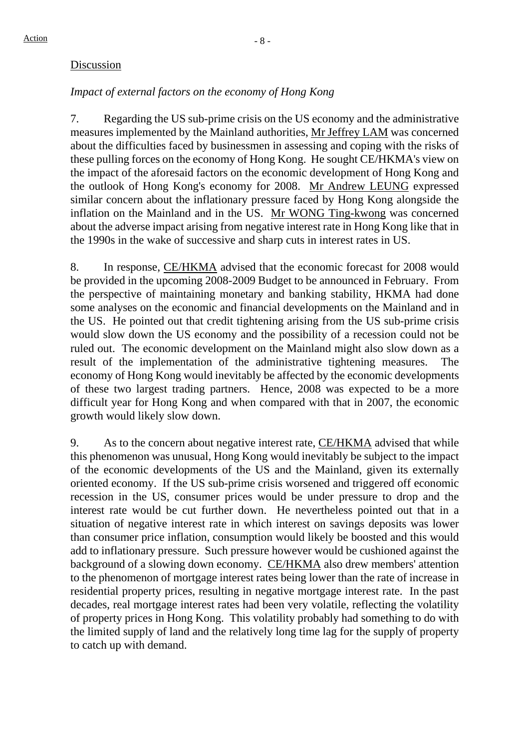#### Discussion

### *Impact of external factors on the economy of Hong Kong*

7. Regarding the US sub-prime crisis on the US economy and the administrative measures implemented by the Mainland authorities, Mr Jeffrey LAM was concerned about the difficulties faced by businessmen in assessing and coping with the risks of these pulling forces on the economy of Hong Kong. He sought CE/HKMA's view on the impact of the aforesaid factors on the economic development of Hong Kong and the outlook of Hong Kong's economy for 2008. Mr Andrew LEUNG expressed similar concern about the inflationary pressure faced by Hong Kong alongside the inflation on the Mainland and in the US. Mr WONG Ting-kwong was concerned about the adverse impact arising from negative interest rate in Hong Kong like that in the 1990s in the wake of successive and sharp cuts in interest rates in US.

8. In response, CE/HKMA advised that the economic forecast for 2008 would be provided in the upcoming 2008-2009 Budget to be announced in February. From the perspective of maintaining monetary and banking stability, HKMA had done some analyses on the economic and financial developments on the Mainland and in the US. He pointed out that credit tightening arising from the US sub-prime crisis would slow down the US economy and the possibility of a recession could not be ruled out. The economic development on the Mainland might also slow down as a result of the implementation of the administrative tightening measures. The economy of Hong Kong would inevitably be affected by the economic developments of these two largest trading partners. Hence, 2008 was expected to be a more difficult year for Hong Kong and when compared with that in 2007, the economic growth would likely slow down.

9. As to the concern about negative interest rate, CE/HKMA advised that while this phenomenon was unusual, Hong Kong would inevitably be subject to the impact of the economic developments of the US and the Mainland, given its externally oriented economy. If the US sub-prime crisis worsened and triggered off economic recession in the US, consumer prices would be under pressure to drop and the interest rate would be cut further down. He nevertheless pointed out that in a situation of negative interest rate in which interest on savings deposits was lower than consumer price inflation, consumption would likely be boosted and this would add to inflationary pressure. Such pressure however would be cushioned against the background of a slowing down economy. CE/HKMA also drew members' attention to the phenomenon of mortgage interest rates being lower than the rate of increase in residential property prices, resulting in negative mortgage interest rate. In the past decades, real mortgage interest rates had been very volatile, reflecting the volatility of property prices in Hong Kong. This volatility probably had something to do with the limited supply of land and the relatively long time lag for the supply of property to catch up with demand.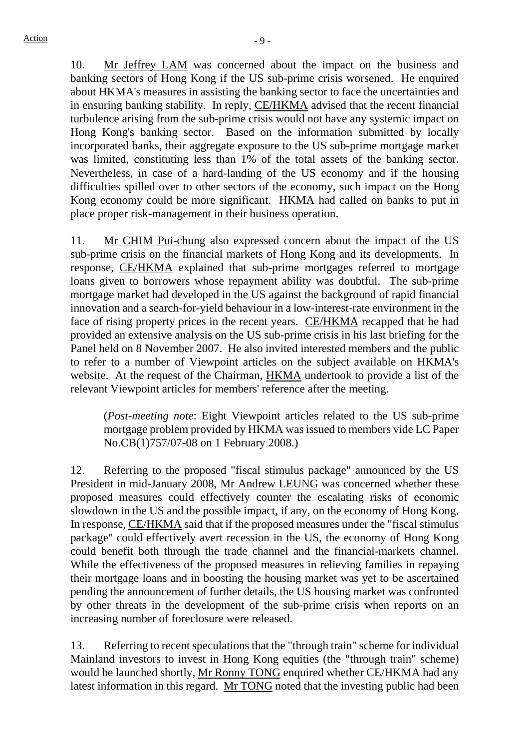10. Mr Jeffrey LAM was concerned about the impact on the business and banking sectors of Hong Kong if the US sub-prime crisis worsened. He enquired about HKMA's measures in assisting the banking sector to face the uncertainties and in ensuring banking stability. In reply, CE/HKMA advised that the recent financial turbulence arising from the sub-prime crisis would not have any systemic impact on Hong Kong's banking sector. Based on the information submitted by locally incorporated banks, their aggregate exposure to the US sub-prime mortgage market was limited, constituting less than 1% of the total assets of the banking sector. Nevertheless, in case of a hard-landing of the US economy and if the housing difficulties spilled over to other sectors of the economy, such impact on the Hong Kong economy could be more significant. HKMA had called on banks to put in place proper risk-management in their business operation.

11. Mr CHIM Pui-chung also expressed concern about the impact of the US sub-prime crisis on the financial markets of Hong Kong and its developments. In response, CE/HKMA explained that sub-prime mortgages referred to mortgage loans given to borrowers whose repayment ability was doubtful. The sub-prime mortgage market had developed in the US against the background of rapid financial innovation and a search-for-yield behaviour in a low-interest-rate environment in the face of rising property prices in the recent years. CE/HKMA recapped that he had provided an extensive analysis on the US sub-prime crisis in his last briefing for the Panel held on 8 November 2007. He also invited interested members and the public to refer to a number of Viewpoint articles on the subject available on HKMA's website. At the request of the Chairman, HKMA undertook to provide a list of the relevant Viewpoint articles for members' reference after the meeting.

(*Post-meeting note*: Eight Viewpoint articles related to the US sub-prime mortgage problem provided by HKMA was issued to members vide LC Paper No.CB(1)757/07-08 on 1 February 2008.)

12. Referring to the proposed "fiscal stimulus package" announced by the US President in mid-January 2008, Mr Andrew LEUNG was concerned whether these proposed measures could effectively counter the escalating risks of economic slowdown in the US and the possible impact, if any, on the economy of Hong Kong. In response, CE/HKMA said that if the proposed measures under the "fiscal stimulus package" could effectively avert recession in the US, the economy of Hong Kong could benefit both through the trade channel and the financial-markets channel. While the effectiveness of the proposed measures in relieving families in repaying their mortgage loans and in boosting the housing market was yet to be ascertained pending the announcement of further details, the US housing market was confronted by other threats in the development of the sub-prime crisis when reports on an increasing number of foreclosure were released.

13. Referring to recent speculations that the "through train" scheme for individual Mainland investors to invest in Hong Kong equities (the "through train" scheme) would be launched shortly, Mr Ronny TONG enquired whether CE/HKMA had any latest information in this regard. Mr TONG noted that the investing public had been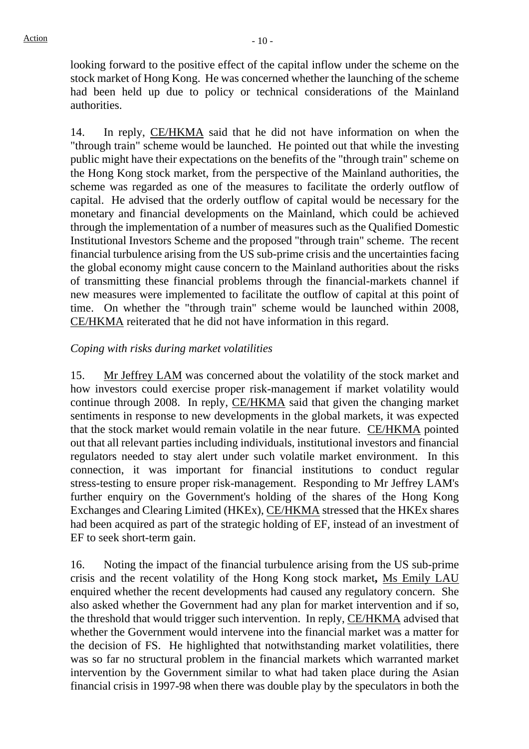looking forward to the positive effect of the capital inflow under the scheme on the stock market of Hong Kong. He was concerned whether the launching of the scheme had been held up due to policy or technical considerations of the Mainland authorities.

14. In reply, CE/HKMA said that he did not have information on when the "through train" scheme would be launched. He pointed out that while the investing public might have their expectations on the benefits of the "through train" scheme on the Hong Kong stock market, from the perspective of the Mainland authorities, the scheme was regarded as one of the measures to facilitate the orderly outflow of capital. He advised that the orderly outflow of capital would be necessary for the monetary and financial developments on the Mainland, which could be achieved through the implementation of a number of measures such as the Qualified Domestic Institutional Investors Scheme and the proposed "through train" scheme. The recent financial turbulence arising from the US sub-prime crisis and the uncertainties facing the global economy might cause concern to the Mainland authorities about the risks of transmitting these financial problems through the financial-markets channel if new measures were implemented to facilitate the outflow of capital at this point of time. On whether the "through train" scheme would be launched within 2008, CE/HKMA reiterated that he did not have information in this regard.

#### *Coping with risks during market volatilities*

15. Mr Jeffrey LAM was concerned about the volatility of the stock market and how investors could exercise proper risk-management if market volatility would continue through 2008. In reply, CE/HKMA said that given the changing market sentiments in response to new developments in the global markets, it was expected that the stock market would remain volatile in the near future. CE/HKMA pointed out that all relevant parties including individuals, institutional investors and financial regulators needed to stay alert under such volatile market environment. In this connection, it was important for financial institutions to conduct regular stress-testing to ensure proper risk-management. Responding to Mr Jeffrey LAM's further enquiry on the Government's holding of the shares of the Hong Kong Exchanges and Clearing Limited (HKEx), CE/HKMA stressed that the HKEx shares had been acquired as part of the strategic holding of EF, instead of an investment of EF to seek short-term gain.

16. Noting the impact of the financial turbulence arising from the US sub-prime crisis and the recent volatility of the Hong Kong stock market**,** Ms Emily LAU enquired whether the recent developments had caused any regulatory concern. She also asked whether the Government had any plan for market intervention and if so, the threshold that would trigger such intervention. In reply, CE/HKMA advised that whether the Government would intervene into the financial market was a matter for the decision of FS. He highlighted that notwithstanding market volatilities, there was so far no structural problem in the financial markets which warranted market intervention by the Government similar to what had taken place during the Asian financial crisis in 1997-98 when there was double play by the speculators in both the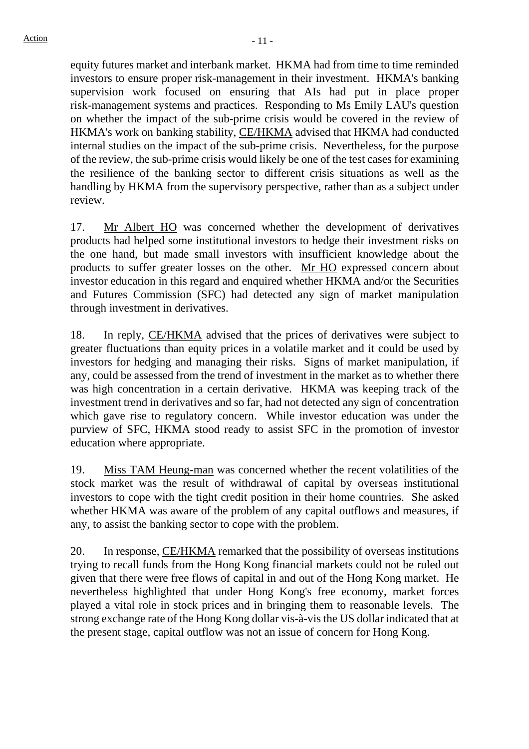equity futures market and interbank market. HKMA had from time to time reminded investors to ensure proper risk-management in their investment. HKMA's banking supervision work focused on ensuring that AIs had put in place proper risk-management systems and practices. Responding to Ms Emily LAU's question on whether the impact of the sub-prime crisis would be covered in the review of HKMA's work on banking stability, CE/HKMA advised that HKMA had conducted internal studies on the impact of the sub-prime crisis. Nevertheless, for the purpose of the review, the sub-prime crisis would likely be one of the test cases for examining the resilience of the banking sector to different crisis situations as well as the handling by HKMA from the supervisory perspective, rather than as a subject under review.

17. Mr Albert HO was concerned whether the development of derivatives products had helped some institutional investors to hedge their investment risks on the one hand, but made small investors with insufficient knowledge about the products to suffer greater losses on the other. Mr HO expressed concern about investor education in this regard and enquired whether HKMA and/or the Securities and Futures Commission (SFC) had detected any sign of market manipulation through investment in derivatives.

18. In reply, CE/HKMA advised that the prices of derivatives were subject to greater fluctuations than equity prices in a volatile market and it could be used by investors for hedging and managing their risks. Signs of market manipulation, if any, could be assessed from the trend of investment in the market as to whether there was high concentration in a certain derivative. HKMA was keeping track of the investment trend in derivatives and so far, had not detected any sign of concentration which gave rise to regulatory concern. While investor education was under the purview of SFC, HKMA stood ready to assist SFC in the promotion of investor education where appropriate.

19. Miss TAM Heung-man was concerned whether the recent volatilities of the stock market was the result of withdrawal of capital by overseas institutional investors to cope with the tight credit position in their home countries. She asked whether HKMA was aware of the problem of any capital outflows and measures, if any, to assist the banking sector to cope with the problem.

20. In response, CE/HKMA remarked that the possibility of overseas institutions trying to recall funds from the Hong Kong financial markets could not be ruled out given that there were free flows of capital in and out of the Hong Kong market. He nevertheless highlighted that under Hong Kong's free economy, market forces played a vital role in stock prices and in bringing them to reasonable levels. The strong exchange rate of the Hong Kong dollar vis-à-vis the US dollar indicated that at the present stage, capital outflow was not an issue of concern for Hong Kong.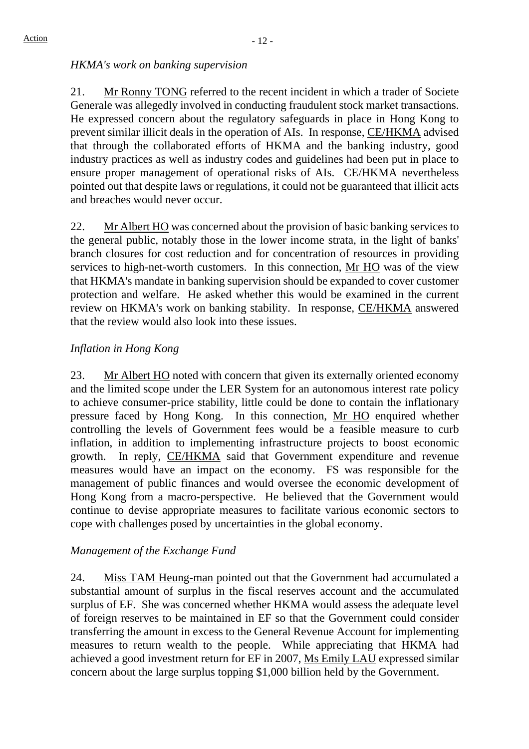#### *HKMA's work on banking supervision*

21. Mr Ronny TONG referred to the recent incident in which a trader of Societe Generale was allegedly involved in conducting fraudulent stock market transactions. He expressed concern about the regulatory safeguards in place in Hong Kong to prevent similar illicit deals in the operation of AIs. In response, CE/HKMA advised that through the collaborated efforts of HKMA and the banking industry, good industry practices as well as industry codes and guidelines had been put in place to ensure proper management of operational risks of AIs. CE/HKMA nevertheless pointed out that despite laws or regulations, it could not be guaranteed that illicit acts and breaches would never occur.

22. Mr Albert HO was concerned about the provision of basic banking services to the general public, notably those in the lower income strata, in the light of banks' branch closures for cost reduction and for concentration of resources in providing services to high-net-worth customers. In this connection, Mr HO was of the view that HKMA's mandate in banking supervision should be expanded to cover customer protection and welfare. He asked whether this would be examined in the current review on HKMA's work on banking stability. In response, CE/HKMA answered that the review would also look into these issues.

#### *Inflation in Hong Kong*

23. Mr Albert HO noted with concern that given its externally oriented economy and the limited scope under the LER System for an autonomous interest rate policy to achieve consumer-price stability, little could be done to contain the inflationary pressure faced by Hong Kong. In this connection, Mr HO enquired whether controlling the levels of Government fees would be a feasible measure to curb inflation, in addition to implementing infrastructure projects to boost economic growth. In reply, CE/HKMA said that Government expenditure and revenue measures would have an impact on the economy. FS was responsible for the management of public finances and would oversee the economic development of Hong Kong from a macro-perspective. He believed that the Government would continue to devise appropriate measures to facilitate various economic sectors to cope with challenges posed by uncertainties in the global economy.

#### *Management of the Exchange Fund*

24. Miss TAM Heung-man pointed out that the Government had accumulated a substantial amount of surplus in the fiscal reserves account and the accumulated surplus of EF. She was concerned whether HKMA would assess the adequate level of foreign reserves to be maintained in EF so that the Government could consider transferring the amount in excess to the General Revenue Account for implementing measures to return wealth to the people. While appreciating that HKMA had achieved a good investment return for EF in 2007, Ms Emily LAU expressed similar concern about the large surplus topping \$1,000 billion held by the Government.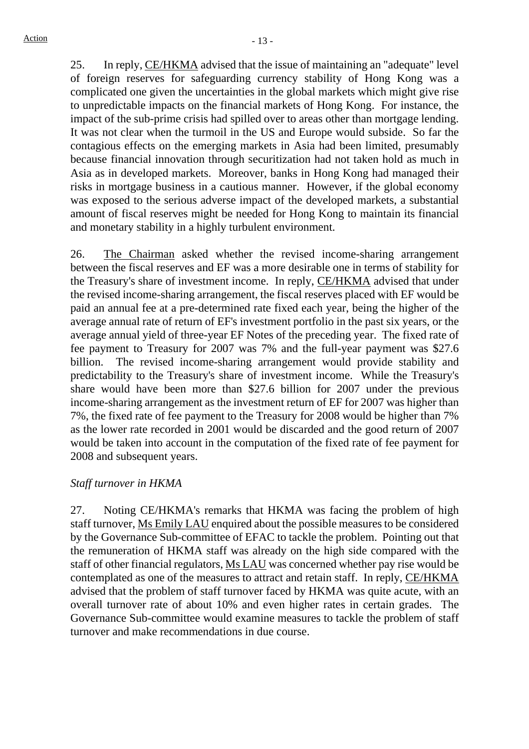25. In reply, CE/HKMA advised that the issue of maintaining an "adequate" level of foreign reserves for safeguarding currency stability of Hong Kong was a complicated one given the uncertainties in the global markets which might give rise to unpredictable impacts on the financial markets of Hong Kong. For instance, the impact of the sub-prime crisis had spilled over to areas other than mortgage lending. It was not clear when the turmoil in the US and Europe would subside. So far the contagious effects on the emerging markets in Asia had been limited, presumably because financial innovation through securitization had not taken hold as much in Asia as in developed markets. Moreover, banks in Hong Kong had managed their risks in mortgage business in a cautious manner. However, if the global economy was exposed to the serious adverse impact of the developed markets, a substantial amount of fiscal reserves might be needed for Hong Kong to maintain its financial and monetary stability in a highly turbulent environment.

26. The Chairman asked whether the revised income-sharing arrangement between the fiscal reserves and EF was a more desirable one in terms of stability for the Treasury's share of investment income. In reply, CE/HKMA advised that under the revised income-sharing arrangement, the fiscal reserves placed with EF would be paid an annual fee at a pre-determined rate fixed each year, being the higher of the average annual rate of return of EF's investment portfolio in the past six years, or the average annual yield of three-year EF Notes of the preceding year. The fixed rate of fee payment to Treasury for 2007 was 7% and the full-year payment was \$27.6 billion. The revised income-sharing arrangement would provide stability and predictability to the Treasury's share of investment income. While the Treasury's share would have been more than \$27.6 billion for 2007 under the previous income-sharing arrangement as the investment return of EF for 2007 was higher than 7%, the fixed rate of fee payment to the Treasury for 2008 would be higher than 7% as the lower rate recorded in 2001 would be discarded and the good return of 2007 would be taken into account in the computation of the fixed rate of fee payment for 2008 and subsequent years.

#### *Staff turnover in HKMA*

27. Noting CE/HKMA's remarks that HKMA was facing the problem of high staff turnover, Ms Emily LAU enquired about the possible measures to be considered by the Governance Sub-committee of EFAC to tackle the problem. Pointing out that the remuneration of HKMA staff was already on the high side compared with the staff of other financial regulators, Ms LAU was concerned whether pay rise would be contemplated as one of the measures to attract and retain staff. In reply, CE/HKMA advised that the problem of staff turnover faced by HKMA was quite acute, with an overall turnover rate of about 10% and even higher rates in certain grades. The Governance Sub-committee would examine measures to tackle the problem of staff turnover and make recommendations in due course.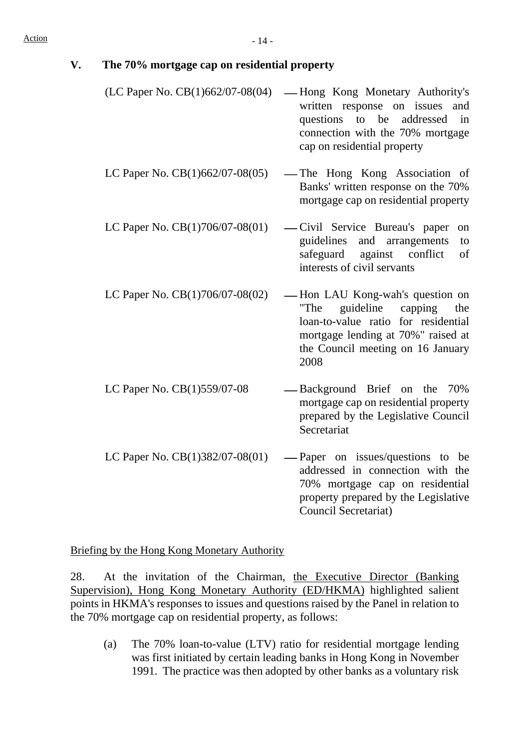| V. | The 70% mortgage cap on residential property |  |
|----|----------------------------------------------|--|
|    |                                              |  |

- $(LC$  Paper No.  $CB(1)662/07-08(04)$  Hong Kong Monetary Authority's written response on issues and questions to be addressed in connection with the 70% mortgage cap on residential property
- LC Paper No.  $CB(1)662/07-08(05)$  The Hong Kong Association of Banks' written response on the 70% mortgage cap on residential property
- LC Paper No.  $CB(1)706/07-08(01)$  Civil Service Bureau's paper on guidelines and arrangements to safeguard against conflict of interests of civil servants
- LC Paper No.  $CB(1)706/07-08(02)$  Hon LAU Kong-wah's question on "The guideline capping the loan-to-value ratio for residential mortgage lending at 70%" raised at the Council meeting on 16 January 2008
- LC Paper No.  $CB(1)559/07-08$  -Background Brief on the 70% mortgage cap on residential property prepared by the Legislative Council **Secretariat**
- LC Paper No.  $CB(1)382/07-08(01)$  Paper on issues/questions to be addressed in connection with the 70% mortgage cap on residential property prepared by the Legislative Council Secretariat)

Briefing by the Hong Kong Monetary Authority

28. At the invitation of the Chairman, the Executive Director (Banking Supervision), Hong Kong Monetary Authority (ED/HKMA) highlighted salient points in HKMA's responses to issues and questions raised by the Panel in relation to the 70% mortgage cap on residential property, as follows:

(a) The 70% loan-to-value (LTV) ratio for residential mortgage lending was first initiated by certain leading banks in Hong Kong in November 1991. The practice was then adopted by other banks as a voluntary risk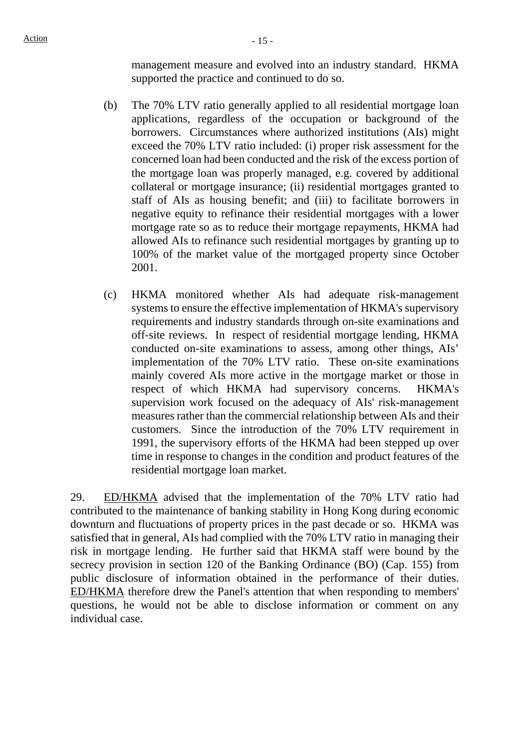management measure and evolved into an industry standard. HKMA supported the practice and continued to do so.

- (b) The 70% LTV ratio generally applied to all residential mortgage loan applications, regardless of the occupation or background of the borrowers. Circumstances where authorized institutions (AIs) might exceed the 70% LTV ratio included: (i) proper risk assessment for the concerned loan had been conducted and the risk of the excess portion of the mortgage loan was properly managed, e.g. covered by additional collateral or mortgage insurance; (ii) residential mortgages granted to staff of AIs as housing benefit; and (iii) to facilitate borrowers in negative equity to refinance their residential mortgages with a lower mortgage rate so as to reduce their mortgage repayments, HKMA had allowed AIs to refinance such residential mortgages by granting up to 100% of the market value of the mortgaged property since October 2001.
- (c) HKMA monitored whether AIs had adequate risk-management systems to ensure the effective implementation of HKMA's supervisory requirements and industry standards through on-site examinations and off-site reviews. In respect of residential mortgage lending, HKMA conducted on-site examinations to assess, among other things, AIs' implementation of the 70% LTV ratio. These on-site examinations mainly covered AIs more active in the mortgage market or those in respect of which HKMA had supervisory concerns. HKMA's supervision work focused on the adequacy of AIs' risk-management measures rather than the commercial relationship between AIs and their customers. Since the introduction of the 70% LTV requirement in 1991, the supervisory efforts of the HKMA had been stepped up over time in response to changes in the condition and product features of the residential mortgage loan market.

29. ED/HKMA advised that the implementation of the 70% LTV ratio had contributed to the maintenance of banking stability in Hong Kong during economic downturn and fluctuations of property prices in the past decade or so. HKMA was satisfied that in general, AIs had complied with the 70% LTV ratio in managing their risk in mortgage lending. He further said that HKMA staff were bound by the secrecy provision in section 120 of the Banking Ordinance (BO) (Cap. 155) from public disclosure of information obtained in the performance of their duties. ED/HKMA therefore drew the Panel's attention that when responding to members' questions, he would not be able to disclose information or comment on any individual case.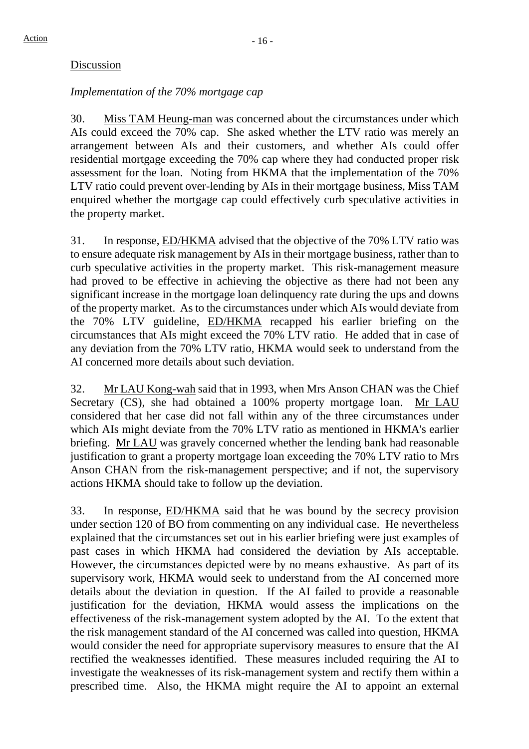#### Discussion

#### *Implementation of the 70% mortgage cap*

30. Miss TAM Heung-man was concerned about the circumstances under which AIs could exceed the 70% cap. She asked whether the LTV ratio was merely an arrangement between AIs and their customers, and whether AIs could offer residential mortgage exceeding the 70% cap where they had conducted proper risk assessment for the loan. Noting from HKMA that the implementation of the 70% LTV ratio could prevent over-lending by AIs in their mortgage business, Miss TAM enquired whether the mortgage cap could effectively curb speculative activities in the property market.

31. In response, ED/HKMA advised that the objective of the 70% LTV ratio was to ensure adequate risk management by AIs in their mortgage business, rather than to curb speculative activities in the property market. This risk-management measure had proved to be effective in achieving the objective as there had not been any significant increase in the mortgage loan delinquency rate during the ups and downs of the property market. As to the circumstances under which AIs would deviate from the 70% LTV guideline, ED/HKMA recapped his earlier briefing on the circumstances that AIs might exceed the 70% LTV ratio. He added that in case of any deviation from the 70% LTV ratio, HKMA would seek to understand from the AI concerned more details about such deviation.

32. Mr LAU Kong-wah said that in 1993, when Mrs Anson CHAN was the Chief Secretary (CS), she had obtained a 100% property mortgage loan. Mr LAU considered that her case did not fall within any of the three circumstances under which AIs might deviate from the 70% LTV ratio as mentioned in HKMA's earlier briefing. Mr LAU was gravely concerned whether the lending bank had reasonable justification to grant a property mortgage loan exceeding the 70% LTV ratio to Mrs Anson CHAN from the risk-management perspective; and if not, the supervisory actions HKMA should take to follow up the deviation.

33. In response, ED/HKMA said that he was bound by the secrecy provision under section 120 of BO from commenting on any individual case. He nevertheless explained that the circumstances set out in his earlier briefing were just examples of past cases in which HKMA had considered the deviation by AIs acceptable. However, the circumstances depicted were by no means exhaustive. As part of its supervisory work, HKMA would seek to understand from the AI concerned more details about the deviation in question. If the AI failed to provide a reasonable justification for the deviation, HKMA would assess the implications on the effectiveness of the risk-management system adopted by the AI. To the extent that the risk management standard of the AI concerned was called into question, HKMA would consider the need for appropriate supervisory measures to ensure that the AI rectified the weaknesses identified. These measures included requiring the AI to investigate the weaknesses of its risk-management system and rectify them within a prescribed time. Also, the HKMA might require the AI to appoint an external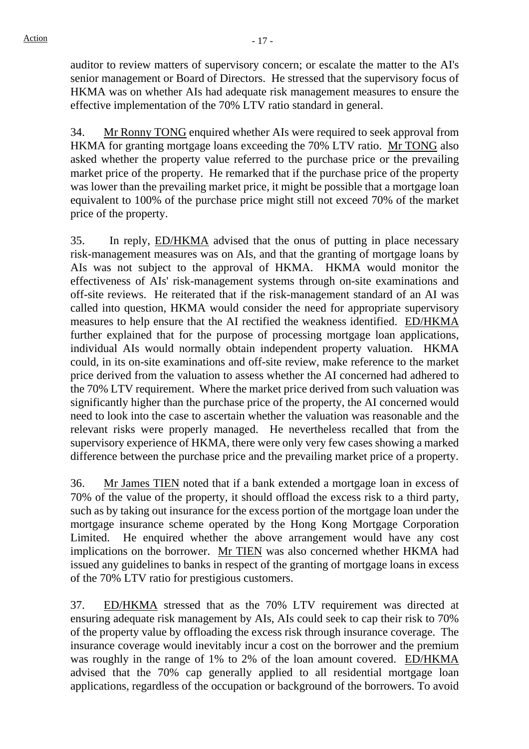auditor to review matters of supervisory concern; or escalate the matter to the AI's senior management or Board of Directors. He stressed that the supervisory focus of HKMA was on whether AIs had adequate risk management measures to ensure the effective implementation of the 70% LTV ratio standard in general.

34. Mr Ronny TONG enquired whether AIs were required to seek approval from HKMA for granting mortgage loans exceeding the 70% LTV ratio. Mr TONG also asked whether the property value referred to the purchase price or the prevailing market price of the property. He remarked that if the purchase price of the property was lower than the prevailing market price, it might be possible that a mortgage loan equivalent to 100% of the purchase price might still not exceed 70% of the market price of the property.

35. In reply, ED/HKMA advised that the onus of putting in place necessary risk-management measures was on AIs, and that the granting of mortgage loans by AIs was not subject to the approval of HKMA. HKMA would monitor the effectiveness of AIs' risk-management systems through on-site examinations and off-site reviews. He reiterated that if the risk-management standard of an AI was called into question, HKMA would consider the need for appropriate supervisory measures to help ensure that the AI rectified the weakness identified. ED/HKMA further explained that for the purpose of processing mortgage loan applications, individual AIs would normally obtain independent property valuation. HKMA could, in its on-site examinations and off-site review, make reference to the market price derived from the valuation to assess whether the AI concerned had adhered to the 70% LTV requirement. Where the market price derived from such valuation was significantly higher than the purchase price of the property, the AI concerned would need to look into the case to ascertain whether the valuation was reasonable and the relevant risks were properly managed. He nevertheless recalled that from the supervisory experience of HKMA, there were only very few cases showing a marked difference between the purchase price and the prevailing market price of a property.

36. Mr James TIEN noted that if a bank extended a mortgage loan in excess of 70% of the value of the property, it should offload the excess risk to a third party, such as by taking out insurance for the excess portion of the mortgage loan under the mortgage insurance scheme operated by the Hong Kong Mortgage Corporation Limited. He enquired whether the above arrangement would have any cost implications on the borrower. Mr TIEN was also concerned whether HKMA had issued any guidelines to banks in respect of the granting of mortgage loans in excess of the 70% LTV ratio for prestigious customers.

37. ED/HKMA stressed that as the 70% LTV requirement was directed at ensuring adequate risk management by AIs, AIs could seek to cap their risk to 70% of the property value by offloading the excess risk through insurance coverage. The insurance coverage would inevitably incur a cost on the borrower and the premium was roughly in the range of 1% to 2% of the loan amount covered. ED/HKMA advised that the 70% cap generally applied to all residential mortgage loan applications, regardless of the occupation or background of the borrowers. To avoid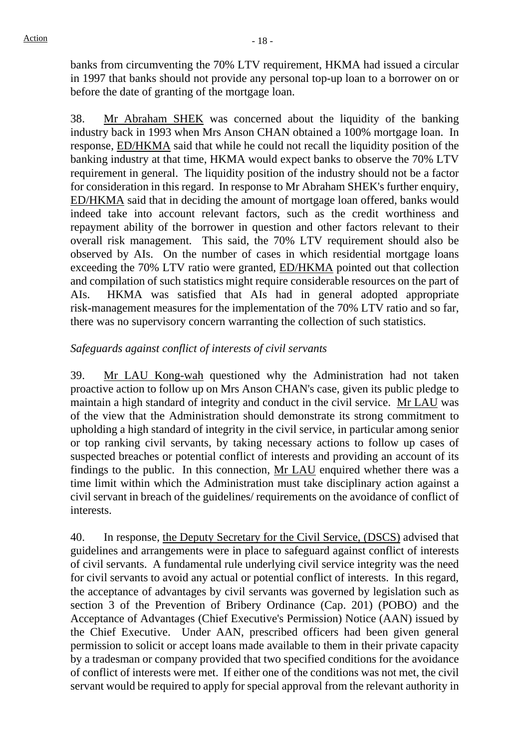banks from circumventing the 70% LTV requirement, HKMA had issued a circular in 1997 that banks should not provide any personal top-up loan to a borrower on or before the date of granting of the mortgage loan.

38. Mr Abraham SHEK was concerned about the liquidity of the banking industry back in 1993 when Mrs Anson CHAN obtained a 100% mortgage loan. In response, ED/HKMA said that while he could not recall the liquidity position of the banking industry at that time, HKMA would expect banks to observe the 70% LTV requirement in general. The liquidity position of the industry should not be a factor for consideration in this regard. In response to Mr Abraham SHEK's further enquiry, ED/HKMA said that in deciding the amount of mortgage loan offered, banks would indeed take into account relevant factors, such as the credit worthiness and repayment ability of the borrower in question and other factors relevant to their overall risk management. This said, the 70% LTV requirement should also be observed by AIs. On the number of cases in which residential mortgage loans exceeding the 70% LTV ratio were granted, ED/HKMA pointed out that collection and compilation of such statistics might require considerable resources on the part of AIs. HKMA was satisfied that AIs had in general adopted appropriate risk-management measures for the implementation of the 70% LTV ratio and so far, there was no supervisory concern warranting the collection of such statistics.

#### *Safeguards against conflict of interests of civil servants*

39. Mr LAU Kong-wah questioned why the Administration had not taken proactive action to follow up on Mrs Anson CHAN's case, given its public pledge to maintain a high standard of integrity and conduct in the civil service. Mr LAU was of the view that the Administration should demonstrate its strong commitment to upholding a high standard of integrity in the civil service, in particular among senior or top ranking civil servants, by taking necessary actions to follow up cases of suspected breaches or potential conflict of interests and providing an account of its findings to the public. In this connection, Mr LAU enquired whether there was a time limit within which the Administration must take disciplinary action against a civil servant in breach of the guidelines/ requirements on the avoidance of conflict of interests.

40. In response, the Deputy Secretary for the Civil Service, (DSCS) advised that guidelines and arrangements were in place to safeguard against conflict of interests of civil servants. A fundamental rule underlying civil service integrity was the need for civil servants to avoid any actual or potential conflict of interests. In this regard, the acceptance of advantages by civil servants was governed by legislation such as section 3 of the Prevention of Bribery Ordinance (Cap. 201) (POBO) and the Acceptance of Advantages (Chief Executive's Permission) Notice (AAN) issued by the Chief Executive. Under AAN, prescribed officers had been given general permission to solicit or accept loans made available to them in their private capacity by a tradesman or company provided that two specified conditions for the avoidance of conflict of interests were met. If either one of the conditions was not met, the civil servant would be required to apply for special approval from the relevant authority in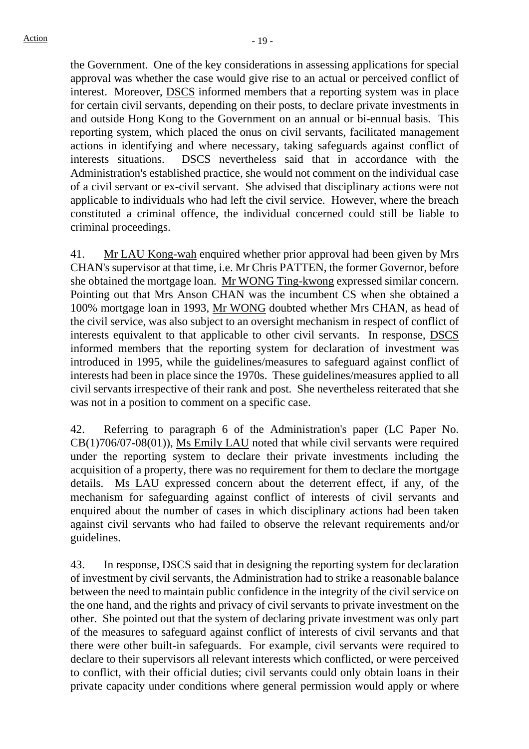the Government. One of the key considerations in assessing applications for special approval was whether the case would give rise to an actual or perceived conflict of interest. Moreover, DSCS informed members that a reporting system was in place for certain civil servants, depending on their posts, to declare private investments in and outside Hong Kong to the Government on an annual or bi-ennual basis. This reporting system, which placed the onus on civil servants, facilitated management actions in identifying and where necessary, taking safeguards against conflict of interests situations. DSCS nevertheless said that in accordance with the Administration's established practice, she would not comment on the individual case of a civil servant or ex-civil servant. She advised that disciplinary actions were not applicable to individuals who had left the civil service. However, where the breach constituted a criminal offence, the individual concerned could still be liable to criminal proceedings.

41. Mr LAU Kong-wah enquired whether prior approval had been given by Mrs CHAN's supervisor at that time, i.e. Mr Chris PATTEN, the former Governor, before she obtained the mortgage loan. Mr WONG Ting-kwong expressed similar concern. Pointing out that Mrs Anson CHAN was the incumbent CS when she obtained a 100% mortgage loan in 1993, Mr WONG doubted whether Mrs CHAN, as head of the civil service, was also subject to an oversight mechanism in respect of conflict of interests equivalent to that applicable to other civil servants. In response, DSCS informed members that the reporting system for declaration of investment was introduced in 1995, while the guidelines/measures to safeguard against conflict of interests had been in place since the 1970s. These guidelines/measures applied to all civil servants irrespective of their rank and post. She nevertheless reiterated that she was not in a position to comment on a specific case.

42. Referring to paragraph 6 of the Administration's paper (LC Paper No. CB(1)706/07-08(01)), Ms Emily LAU noted that while civil servants were required under the reporting system to declare their private investments including the acquisition of a property, there was no requirement for them to declare the mortgage details. Ms LAU expressed concern about the deterrent effect, if any, of the mechanism for safeguarding against conflict of interests of civil servants and enquired about the number of cases in which disciplinary actions had been taken against civil servants who had failed to observe the relevant requirements and/or guidelines.

43. In response, DSCS said that in designing the reporting system for declaration of investment by civil servants, the Administration had to strike a reasonable balance between the need to maintain public confidence in the integrity of the civil service on the one hand, and the rights and privacy of civil servants to private investment on the other. She pointed out that the system of declaring private investment was only part of the measures to safeguard against conflict of interests of civil servants and that there were other built-in safeguards. For example, civil servants were required to declare to their supervisors all relevant interests which conflicted, or were perceived to conflict, with their official duties; civil servants could only obtain loans in their private capacity under conditions where general permission would apply or where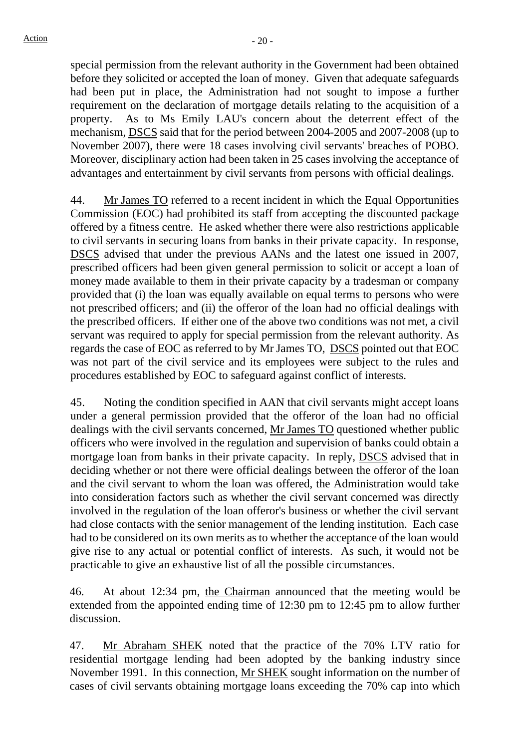special permission from the relevant authority in the Government had been obtained before they solicited or accepted the loan of money. Given that adequate safeguards had been put in place, the Administration had not sought to impose a further requirement on the declaration of mortgage details relating to the acquisition of a property. As to Ms Emily LAU's concern about the deterrent effect of the mechanism, DSCS said that for the period between 2004-2005 and 2007-2008 (up to November 2007), there were 18 cases involving civil servants' breaches of POBO. Moreover, disciplinary action had been taken in 25 cases involving the acceptance of advantages and entertainment by civil servants from persons with official dealings.

44. Mr James TO referred to a recent incident in which the Equal Opportunities Commission (EOC) had prohibited its staff from accepting the discounted package offered by a fitness centre. He asked whether there were also restrictions applicable to civil servants in securing loans from banks in their private capacity. In response, DSCS advised that under the previous AANs and the latest one issued in 2007, prescribed officers had been given general permission to solicit or accept a loan of money made available to them in their private capacity by a tradesman or company provided that (i) the loan was equally available on equal terms to persons who were not prescribed officers; and (ii) the offeror of the loan had no official dealings with the prescribed officers. If either one of the above two conditions was not met, a civil servant was required to apply for special permission from the relevant authority. As regards the case of EOC as referred to by Mr James TO, DSCS pointed out that EOC was not part of the civil service and its employees were subject to the rules and procedures established by EOC to safeguard against conflict of interests.

45. Noting the condition specified in AAN that civil servants might accept loans under a general permission provided that the offeror of the loan had no official dealings with the civil servants concerned, Mr James TO questioned whether public officers who were involved in the regulation and supervision of banks could obtain a mortgage loan from banks in their private capacity. In reply, DSCS advised that in deciding whether or not there were official dealings between the offeror of the loan and the civil servant to whom the loan was offered, the Administration would take into consideration factors such as whether the civil servant concerned was directly involved in the regulation of the loan offeror's business or whether the civil servant had close contacts with the senior management of the lending institution. Each case had to be considered on its own merits as to whether the acceptance of the loan would give rise to any actual or potential conflict of interests. As such, it would not be practicable to give an exhaustive list of all the possible circumstances.

46. At about 12:34 pm, the Chairman announced that the meeting would be extended from the appointed ending time of 12:30 pm to 12:45 pm to allow further discussion.

47. Mr Abraham SHEK noted that the practice of the 70% LTV ratio for residential mortgage lending had been adopted by the banking industry since November 1991. In this connection, Mr SHEK sought information on the number of cases of civil servants obtaining mortgage loans exceeding the 70% cap into which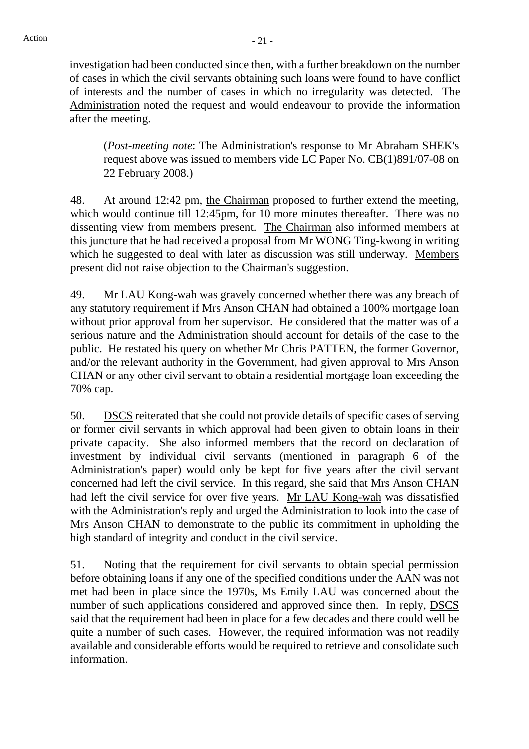investigation had been conducted since then, with a further breakdown on the number of cases in which the civil servants obtaining such loans were found to have conflict of interests and the number of cases in which no irregularity was detected. The Administration noted the request and would endeavour to provide the information after the meeting.

(*Post-meeting note*: The Administration's response to Mr Abraham SHEK's request above was issued to members vide LC Paper No. CB(1)891/07-08 on 22 February 2008.)

48. At around 12:42 pm, the Chairman proposed to further extend the meeting, which would continue till 12:45pm, for 10 more minutes thereafter. There was no dissenting view from members present. The Chairman also informed members at this juncture that he had received a proposal from Mr WONG Ting-kwong in writing which he suggested to deal with later as discussion was still underway. Members present did not raise objection to the Chairman's suggestion.

49. Mr LAU Kong-wah was gravely concerned whether there was any breach of any statutory requirement if Mrs Anson CHAN had obtained a 100% mortgage loan without prior approval from her supervisor. He considered that the matter was of a serious nature and the Administration should account for details of the case to the public. He restated his query on whether Mr Chris PATTEN, the former Governor, and/or the relevant authority in the Government, had given approval to Mrs Anson CHAN or any other civil servant to obtain a residential mortgage loan exceeding the 70% cap.

50. DSCS reiterated that she could not provide details of specific cases of serving or former civil servants in which approval had been given to obtain loans in their private capacity. She also informed members that the record on declaration of investment by individual civil servants (mentioned in paragraph 6 of the Administration's paper) would only be kept for five years after the civil servant concerned had left the civil service. In this regard, she said that Mrs Anson CHAN had left the civil service for over five years. Mr LAU Kong-wah was dissatisfied with the Administration's reply and urged the Administration to look into the case of Mrs Anson CHAN to demonstrate to the public its commitment in upholding the high standard of integrity and conduct in the civil service.

51. Noting that the requirement for civil servants to obtain special permission before obtaining loans if any one of the specified conditions under the AAN was not met had been in place since the 1970s, Ms Emily LAU was concerned about the number of such applications considered and approved since then. In reply, DSCS said that the requirement had been in place for a few decades and there could well be quite a number of such cases. However, the required information was not readily available and considerable efforts would be required to retrieve and consolidate such information.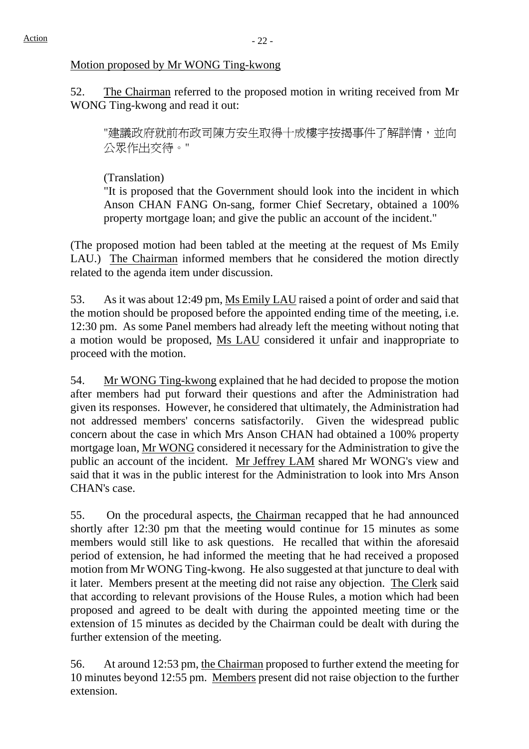#### Motion proposed by Mr WONG Ting-kwong

52. The Chairman referred to the proposed motion in writing received from Mr WONG Ting-kwong and read it out:

"建議政府就前布政司陳方安生取得十成樓宇按揭事件了解詳情,並向 公眾作出交待。"

(Translation)

"It is proposed that the Government should look into the incident in which Anson CHAN FANG On-sang, former Chief Secretary, obtained a 100% property mortgage loan; and give the public an account of the incident."

(The proposed motion had been tabled at the meeting at the request of Ms Emily LAU.) The Chairman informed members that he considered the motion directly related to the agenda item under discussion.

53. As it was about 12:49 pm, Ms Emily LAU raised a point of order and said that the motion should be proposed before the appointed ending time of the meeting, i.e. 12:30 pm. As some Panel members had already left the meeting without noting that a motion would be proposed, Ms LAU considered it unfair and inappropriate to proceed with the motion.

54. Mr WONG Ting-kwong explained that he had decided to propose the motion after members had put forward their questions and after the Administration had given its responses. However, he considered that ultimately, the Administration had not addressed members' concerns satisfactorily. Given the widespread public concern about the case in which Mrs Anson CHAN had obtained a 100% property mortgage loan, Mr WONG considered it necessary for the Administration to give the public an account of the incident. Mr Jeffrey LAM shared Mr WONG's view and said that it was in the public interest for the Administration to look into Mrs Anson CHAN's case.

55. On the procedural aspects, the Chairman recapped that he had announced shortly after 12:30 pm that the meeting would continue for 15 minutes as some members would still like to ask questions. He recalled that within the aforesaid period of extension, he had informed the meeting that he had received a proposed motion from Mr WONG Ting-kwong. He also suggested at that juncture to deal with it later. Members present at the meeting did not raise any objection. The Clerk said that according to relevant provisions of the House Rules, a motion which had been proposed and agreed to be dealt with during the appointed meeting time or the extension of 15 minutes as decided by the Chairman could be dealt with during the further extension of the meeting.

56. At around 12:53 pm, the Chairman proposed to further extend the meeting for 10 minutes beyond 12:55 pm. Members present did not raise objection to the further extension.